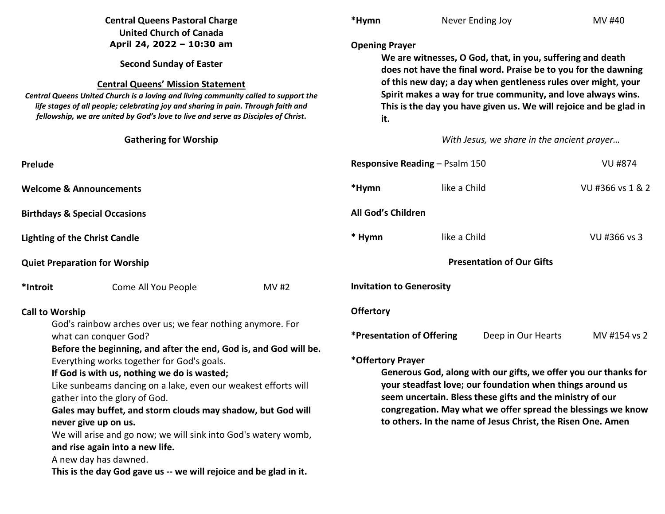| <b>Central Queens Pastoral Charge</b><br><b>United Church of Canada</b>                                                                                                                                                                                                                                                                                                                                                                                                                                                                                                                                                                                                      |                              | *Hymn                                                                                                                                                                                                                                                                                                                                                                                                                                       | Never Ending Joy                                                                                                                                                                                                                                                                                                                                                   | MV #40                                     |                  |  |
|------------------------------------------------------------------------------------------------------------------------------------------------------------------------------------------------------------------------------------------------------------------------------------------------------------------------------------------------------------------------------------------------------------------------------------------------------------------------------------------------------------------------------------------------------------------------------------------------------------------------------------------------------------------------------|------------------------------|---------------------------------------------------------------------------------------------------------------------------------------------------------------------------------------------------------------------------------------------------------------------------------------------------------------------------------------------------------------------------------------------------------------------------------------------|--------------------------------------------------------------------------------------------------------------------------------------------------------------------------------------------------------------------------------------------------------------------------------------------------------------------------------------------------------------------|--------------------------------------------|------------------|--|
| April 24, 2022 - 10:30 am<br><b>Second Sunday of Easter</b><br><b>Central Queens' Mission Statement</b><br>Central Queens United Church is a loving and living community called to support the<br>life stages of all people; celebrating joy and sharing in pain. Through faith and<br>fellowship, we are united by God's love to live and serve as Disciples of Christ.                                                                                                                                                                                                                                                                                                     |                              |                                                                                                                                                                                                                                                                                                                                                                                                                                             | <b>Opening Prayer</b><br>We are witnesses, O God, that, in you, suffering and death<br>does not have the final word. Praise be to you for the dawning<br>of this new day; a day when gentleness rules over might, your<br>Spirit makes a way for true community, and love always wins.<br>This is the day you have given us. We will rejoice and be glad in<br>it. |                                            |                  |  |
|                                                                                                                                                                                                                                                                                                                                                                                                                                                                                                                                                                                                                                                                              | <b>Gathering for Worship</b> |                                                                                                                                                                                                                                                                                                                                                                                                                                             |                                                                                                                                                                                                                                                                                                                                                                    | With Jesus, we share in the ancient prayer |                  |  |
| Prelude                                                                                                                                                                                                                                                                                                                                                                                                                                                                                                                                                                                                                                                                      |                              |                                                                                                                                                                                                                                                                                                                                                                                                                                             | Responsive Reading - Psalm 150<br><b>VU #874</b>                                                                                                                                                                                                                                                                                                                   |                                            |                  |  |
| <b>Welcome &amp; Announcements</b>                                                                                                                                                                                                                                                                                                                                                                                                                                                                                                                                                                                                                                           |                              |                                                                                                                                                                                                                                                                                                                                                                                                                                             | *Hymn                                                                                                                                                                                                                                                                                                                                                              | like a Child                               | VU #366 vs 1 & 2 |  |
| <b>Birthdays &amp; Special Occasions</b>                                                                                                                                                                                                                                                                                                                                                                                                                                                                                                                                                                                                                                     |                              |                                                                                                                                                                                                                                                                                                                                                                                                                                             | All God's Children                                                                                                                                                                                                                                                                                                                                                 |                                            |                  |  |
| <b>Lighting of the Christ Candle</b>                                                                                                                                                                                                                                                                                                                                                                                                                                                                                                                                                                                                                                         |                              |                                                                                                                                                                                                                                                                                                                                                                                                                                             | * Hymn                                                                                                                                                                                                                                                                                                                                                             | like a Child                               | VU #366 vs 3     |  |
| <b>Quiet Preparation for Worship</b>                                                                                                                                                                                                                                                                                                                                                                                                                                                                                                                                                                                                                                         |                              |                                                                                                                                                                                                                                                                                                                                                                                                                                             | <b>Presentation of Our Gifts</b>                                                                                                                                                                                                                                                                                                                                   |                                            |                  |  |
| *Introit                                                                                                                                                                                                                                                                                                                                                                                                                                                                                                                                                                                                                                                                     | Come All You People          | <b>MV#2</b>                                                                                                                                                                                                                                                                                                                                                                                                                                 | <b>Invitation to Generosity</b>                                                                                                                                                                                                                                                                                                                                    |                                            |                  |  |
| <b>Call to Worship</b><br>God's rainbow arches over us; we fear nothing anymore. For<br>what can conquer God?<br>Before the beginning, and after the end, God is, and God will be.<br>Everything works together for God's goals.<br>If God is with us, nothing we do is wasted;<br>Like sunbeams dancing on a lake, even our weakest efforts will<br>gather into the glory of God.<br>Gales may buffet, and storm clouds may shadow, but God will<br>never give up on us.<br>We will arise and go now; we will sink into God's watery womb,<br>and rise again into a new life.<br>A new day has dawned.<br>This is the day God gave us -- we will rejoice and be glad in it. |                              | <b>Offertory</b><br><b>*Presentation of Offering</b><br>Deep in Our Hearts<br>MV #154 vs 2<br>*Offertory Prayer<br>Generous God, along with our gifts, we offer you our thanks for<br>your steadfast love; our foundation when things around us<br>seem uncertain. Bless these gifts and the ministry of our<br>congregation. May what we offer spread the blessings we know<br>to others. In the name of Jesus Christ, the Risen One. Amen |                                                                                                                                                                                                                                                                                                                                                                    |                                            |                  |  |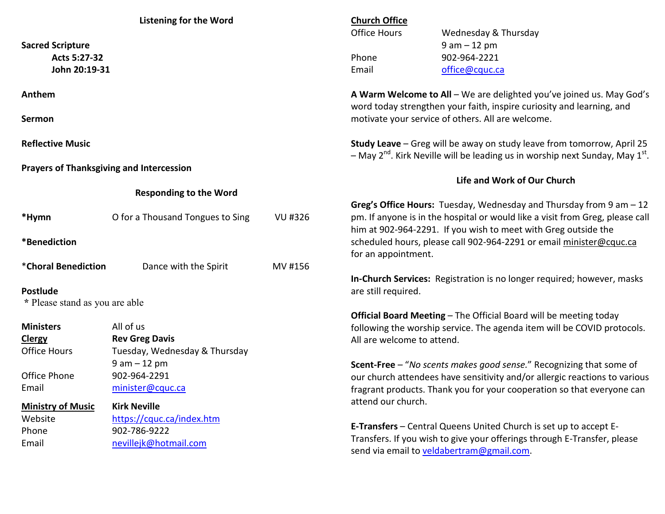| <b>Listening for the Word</b>                   |                                  |                | <b>Church Office</b>                                                                    |                                                                               |  |
|-------------------------------------------------|----------------------------------|----------------|-----------------------------------------------------------------------------------------|-------------------------------------------------------------------------------|--|
|                                                 |                                  |                | <b>Office Hours</b>                                                                     | Wednesday & Thursday                                                          |  |
| <b>Sacred Scripture</b>                         |                                  |                |                                                                                         | $9 am - 12 pm$                                                                |  |
| Acts 5:27-32                                    |                                  |                | Phone                                                                                   | 902-964-2221                                                                  |  |
| John 20:19-31                                   |                                  |                | Email                                                                                   | office@cquc.ca                                                                |  |
|                                                 |                                  |                |                                                                                         |                                                                               |  |
| Anthem                                          |                                  |                | A Warm Welcome to All - We are delighted you've joined us. May God's                    |                                                                               |  |
|                                                 |                                  |                |                                                                                         | word today strengthen your faith, inspire curiosity and learning, and         |  |
| <b>Sermon</b>                                   |                                  |                | motivate your service of others. All are welcome.                                       |                                                                               |  |
|                                                 |                                  |                |                                                                                         |                                                                               |  |
| <b>Reflective Music</b>                         |                                  |                | Study Leave - Greg will be away on study leave from tomorrow, April 25                  |                                                                               |  |
|                                                 |                                  |                | - May $2^{nd}$ . Kirk Neville will be leading us in worship next Sunday, May $1^{st}$ . |                                                                               |  |
| <b>Prayers of Thanksgiving and Intercession</b> |                                  |                |                                                                                         | Life and Work of Our Church                                                   |  |
|                                                 | <b>Responding to the Word</b>    |                |                                                                                         |                                                                               |  |
|                                                 |                                  |                |                                                                                         | Greg's Office Hours: Tuesday, Wednesday and Thursday from 9 am - 12           |  |
| *Hymn                                           | O for a Thousand Tongues to Sing | <b>VU #326</b> |                                                                                         | pm. If anyone is in the hospital or would like a visit from Greg, please call |  |
|                                                 |                                  |                |                                                                                         | him at 902-964-2291. If you wish to meet with Greg outside the                |  |
| *Benediction                                    |                                  |                |                                                                                         | scheduled hours, please call 902-964-2291 or email minister@cquc.ca           |  |
|                                                 |                                  |                | for an appointment.                                                                     |                                                                               |  |
| *Choral Benediction                             | Dance with the Spirit            | MV #156        |                                                                                         |                                                                               |  |
|                                                 |                                  |                |                                                                                         | In-Church Services: Registration is no longer required; however, masks        |  |
| <b>Postlude</b>                                 |                                  |                | are still required.                                                                     |                                                                               |  |
| * Please stand as you are able                  |                                  |                |                                                                                         |                                                                               |  |
|                                                 |                                  |                |                                                                                         | Official Board Meeting - The Official Board will be meeting today             |  |
| <b>Ministers</b>                                | All of us                        |                |                                                                                         | following the worship service. The agenda item will be COVID protocols.       |  |
| <b>Clergy</b>                                   | <b>Rev Greg Davis</b>            |                | All are welcome to attend.                                                              |                                                                               |  |
| <b>Office Hours</b>                             | Tuesday, Wednesday & Thursday    |                |                                                                                         |                                                                               |  |
|                                                 | $9 am - 12 pm$                   |                |                                                                                         | Scent-Free - "No scents makes good sense." Recognizing that some of           |  |
| Office Phone                                    | 902-964-2291                     |                |                                                                                         | our church attendees have sensitivity and/or allergic reactions to various    |  |
| minister@cquc.ca<br>Email                       |                                  |                | fragrant products. Thank you for your cooperation so that everyone can                  |                                                                               |  |
| <b>Ministry of Music</b>                        | <b>Kirk Neville</b>              |                | attend our church.                                                                      |                                                                               |  |
| Website                                         | https://cquc.ca/index.htm        |                |                                                                                         |                                                                               |  |
| Phone<br>902-786-9222                           |                                  |                | E-Transfers - Central Queens United Church is set up to accept E-                       |                                                                               |  |
| Email                                           | nevillejk@hotmail.com            |                |                                                                                         | Transfers. If you wish to give your offerings through E-Transfer, please      |  |
|                                                 |                                  |                |                                                                                         | send via email to veldabertram@gmail.com.                                     |  |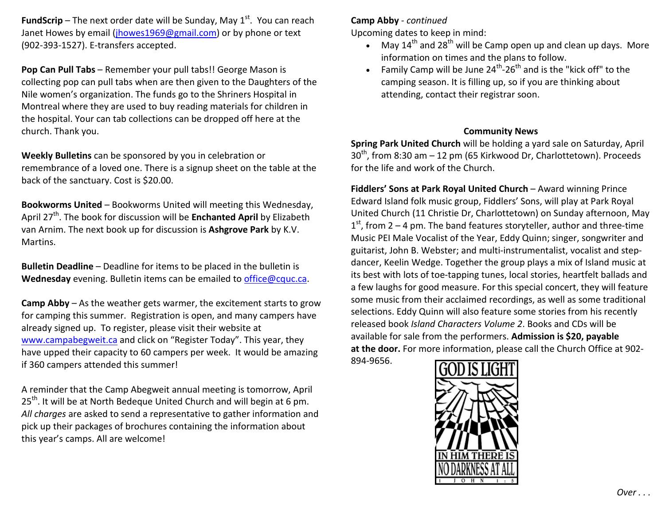**FundScrip** – The next order date will be Sunday, May  $1<sup>st</sup>$ . You can reach Janet Howes by email (jhowes1969@gmail.com) or by phone or text (902-393-1527). E-transfers accepted.

**Pop Can Pull Tabs** – Remember your pull tabs!! George Mason is collecting pop can pull tabs when are then given to the Daughters of the Nile women's organization. The funds go to the Shriners Hospital in Montreal where they are used to buy reading materials for children in the hospital. Your can tab collections can be dropped off here at the church. Thank you.

**Weekly Bulletins** can be sponsored by you in celebration or remembrance of a loved one. There is a signup sheet on the table at the back of the sanctuary. Cost is \$20.00.

**Bookworms United** – Bookworms United will meeting this Wednesday, April 27<sup>th</sup>. The book for discussion will be **Enchanted April** by Elizabeth van Arnim. The next book up for discussion is **Ashgrove Park** by K.V. Martins.

**Bulletin Deadline** – Deadline for items to be placed in the bulletin is **Wednesday** evening. Bulletin items can be emailed to office@cquc.ca.

**Camp Abby** – As the weather gets warmer, the excitement starts to grow for camping this summer. Registration is open, and many campers have already signed up. To register, please visit their website at www.campabegweit.ca and click on "Register Today". This year, they have upped their capacity to 60 campers per week. It would be amazing if 360 campers attended this summer!

A reminder that the Camp Abegweit annual meeting is tomorrow, April  $25<sup>th</sup>$ . It will be at North Bedeque United Church and will begin at 6 pm. *All charges* are asked to send a representative to gather information and pick up their packages of brochures containing the information about this year's camps. All are welcome!

## **Camp Abby** - *continued*

Upcoming dates to keep in mind:

- May 14<sup>th</sup> and 28<sup>th</sup> will be Camp open up and clean up days. More information on times and the plans to follow.
- Family Camp will be June  $24^{th}$ - $26^{th}$  and is the "kick off" to the camping season. It is filling up, so if you are thinking about attending, contact their registrar soon.

## **Community News**

**Spring Park United Church** will be holding a yard sale on Saturday, April  $30<sup>th</sup>$ , from 8:30 am – 12 pm (65 Kirkwood Dr, Charlottetown). Proceeds for the life and work of the Church.

**Fiddlers' Sons at Park Royal United Church** – Award winning Prince Edward Island folk music group, Fiddlers' Sons, will play at Park Royal United Church (11 Christie Dr, Charlottetown) on Sunday afternoon, May  $1<sup>st</sup>$ , from 2 – 4 pm. The band features storyteller, author and three-time Music PEI Male Vocalist of the Year, Eddy Quinn; singer, songwriter and guitarist, John B. Webster; and multi-instrumentalist, vocalist and stepdancer, Keelin Wedge. Together the group plays a mix of Island music at its best with lots of toe-tapping tunes, local stories, heartfelt ballads and a few laughs for good measure. For this special concert, they will feature some music from their acclaimed recordings, as well as some traditional selections. Eddy Quinn will also feature some stories from his recently released book *Island Characters Volume 2*. Books and CDs will be available for sale from the performers. **Admission is \$20, payable at the door.** For more information, please call the Church Office at 902-894-9656.